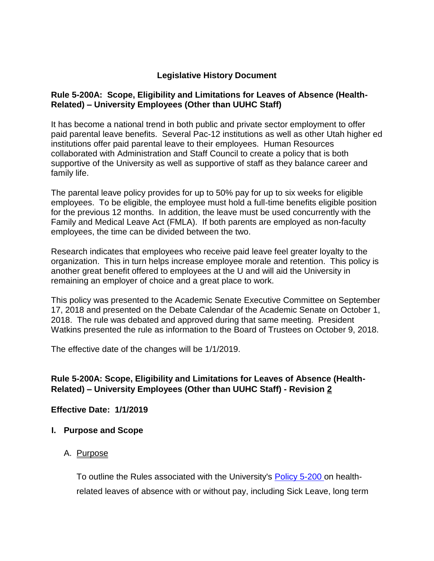## **Legislative History Document**

#### **Rule 5-200A: Scope, Eligibility and Limitations for Leaves of Absence (Health-Related) – University Employees (Other than UUHC Staff)**

It has become a national trend in both public and private sector employment to offer paid parental leave benefits. Several Pac-12 institutions as well as other Utah higher ed institutions offer paid parental leave to their employees. Human Resources collaborated with Administration and Staff Council to create a policy that is both supportive of the University as well as supportive of staff as they balance career and family life.

The parental leave policy provides for up to 50% pay for up to six weeks for eligible employees. To be eligible, the employee must hold a full-time benefits eligible position for the previous 12 months. In addition, the leave must be used concurrently with the Family and Medical Leave Act (FMLA). If both parents are employed as non-faculty employees, the time can be divided between the two.

Research indicates that employees who receive paid leave feel greater loyalty to the organization. This in turn helps increase employee morale and retention. This policy is another great benefit offered to employees at the U and will aid the University in remaining an employer of choice and a great place to work.

This policy was presented to the Academic Senate Executive Committee on September 17, 2018 and presented on the Debate Calendar of the Academic Senate on October 1, 2018. The rule was debated and approved during that same meeting. President Watkins presented the rule as information to the Board of Trustees on October 9, 2018.

The effective date of the changes will be 1/1/2019.

# **Rule 5-200A: Scope, Eligibility and Limitations for Leaves of Absence (Health-Related) – University Employees (Other than UUHC Staff) - Revision 2**

#### **Effective Date: 1/1/2019**

**I. Purpose and Scope**

#### A. Purpose

To outline the Rules associated with the University's [Policy 5-200 o](http://regulations.utah.edu/human-resources/5-200.php)n healthrelated leaves of absence with or without pay, including Sick Leave, long term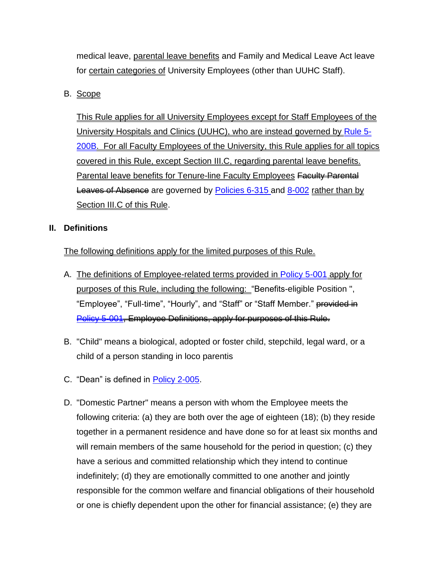medical leave, parental leave benefits and Family and Medical Leave Act leave for certain categories of University Employees (other than UUHC Staff).

# B. Scope

This Rule applies for all University Employees except for Staff Employees of the University Hospitals and Clinics (UUHC), who are instead governed by [Rule 5-](https://regulations.utah.edu/human-resources/rules/rule_5-200B.php) [200B.](https://regulations.utah.edu/human-resources/rules/rule_5-200B.php) For all Faculty Employees of the University, this Rule applies for all topics covered in this Rule, except Section III.C, regarding parental leave benefits. **Parental leave benefits for Tenure-line Faculty Employees Faculty Parental** Leaves of Absence are governed by [Policies 6-315 a](http://regulations.utah.edu/academics/6-315.php)nd [8-002](http://regulations.utah.edu/health-sciences/8-002.php) rather than by Section III.C of this Rule.

#### **II. Definitions**

The following definitions apply for the limited purposes of this Rule.

- A. The definitions of Employee-related terms provided in [Policy 5-001](http://regulations.utah.edu/human-resources/5-001.php) apply for purposes of this Rule, including the following: "Benefits-eligible Position ", "Employee", "Full-time", "Hourly", and "Staff" or "Staff Member." provided in [Policy 5-001,](http://regulations.utah.edu/human-resources/5-001.php) Employee Definitions, apply for purposes of this Rule.
- B. "Child" means a biological, adopted or foster child, stepchild, legal ward, or a child of a person standing in loco parentis
- C. "Dean" is defined in [Policy 2-005.](http://regulations.utah.edu/u-organizations/2-005.php)
- D. "Domestic Partner" means a person with whom the Employee meets the following criteria: (a) they are both over the age of eighteen (18); (b) they reside together in a permanent residence and have done so for at least six months and will remain members of the same household for the period in question; (c) they have a serious and committed relationship which they intend to continue indefinitely; (d) they are emotionally committed to one another and jointly responsible for the common welfare and financial obligations of their household or one is chiefly dependent upon the other for financial assistance; (e) they are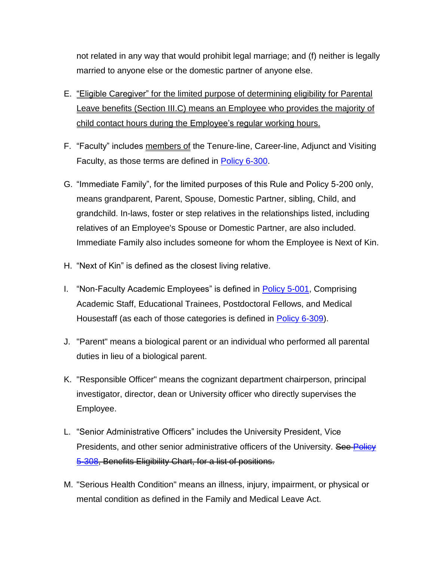not related in any way that would prohibit legal marriage; and (f) neither is legally married to anyone else or the domestic partner of anyone else.

- E. "Eligible Caregiver" for the limited purpose of determining eligibility for Parental Leave benefits (Section III.C) means an Employee who provides the majority of child contact hours during the Employee's regular working hours.
- F. "Faculty" includes members of the Tenure-line, Career-line, Adjunct and Visiting Faculty, as those terms are defined in **Policy 6-300**.
- G. "Immediate Family", for the limited purposes of this Rule and Policy 5-200 only, means grandparent, Parent, Spouse, Domestic Partner, sibling, Child, and grandchild. In-laws, foster or step relatives in the relationships listed, including relatives of an Employee's Spouse or Domestic Partner, are also included. Immediate Family also includes someone for whom the Employee is Next of Kin.
- H. "Next of Kin" is defined as the closest living relative.
- I. "Non-Faculty Academic Employees" is defined in [Policy](http://regulations.utah.edu/human-resources/5-001.php) 5-001, Comprising Academic Staff, Educational Trainees, Postdoctoral Fellows, and Medical Housestaff (as each of those categories is defined in [Policy 6-309\)](http://regulations.utah.edu/academics/6-309.php).
- J. "Parent" means a biological parent or an individual who performed all parental duties in lieu of a biological parent.
- K. "Responsible Officer" means the cognizant department chairperson, principal investigator, director, dean or University officer who directly supervises the Employee.
- L. "Senior Administrative Officers" includes the University President, Vice Presidents, and other senior administrative officers of the University. See Policy [5-308,](http://regulations.utah.edu/human-resources/5-308.php) Benefits Eligibility Chart, for a list of positions.
- M. "Serious Health Condition" means an illness, injury, impairment, or physical or mental condition as defined in the Family and Medical Leave Act.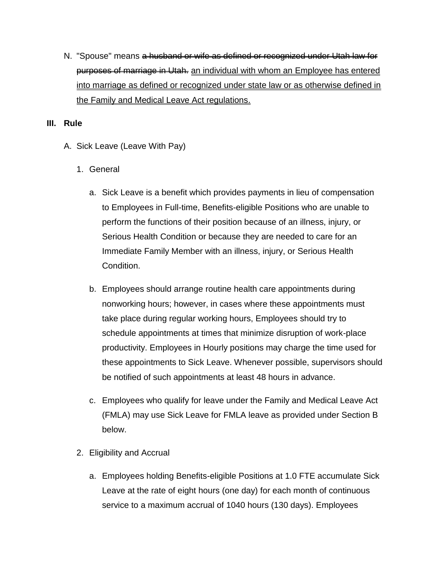N. "Spouse" means <del>a husband or wife as defined or recognized under Utah law for</del> purposes of marriage in Utah. an individual with whom an Employee has entered into marriage as defined or recognized under state law or as otherwise defined in the Family and Medical Leave Act regulations.

#### **III. Rule**

- A. Sick Leave (Leave With Pay)
	- 1. General
		- a. Sick Leave is a benefit which provides payments in lieu of compensation to Employees in Full-time, Benefits-eligible Positions who are unable to perform the functions of their position because of an illness, injury, or Serious Health Condition or because they are needed to care for an Immediate Family Member with an illness, injury, or Serious Health Condition.
		- b. Employees should arrange routine health care appointments during nonworking hours; however, in cases where these appointments must take place during regular working hours, Employees should try to schedule appointments at times that minimize disruption of work-place productivity. Employees in Hourly positions may charge the time used for these appointments to Sick Leave. Whenever possible, supervisors should be notified of such appointments at least 48 hours in advance.
		- c. Employees who qualify for leave under the Family and Medical Leave Act (FMLA) may use Sick Leave for FMLA leave as provided under Section B below.
	- 2. Eligibility and Accrual
		- a. Employees holding Benefits-eligible Positions at 1.0 FTE accumulate Sick Leave at the rate of eight hours (one day) for each month of continuous service to a maximum accrual of 1040 hours (130 days). Employees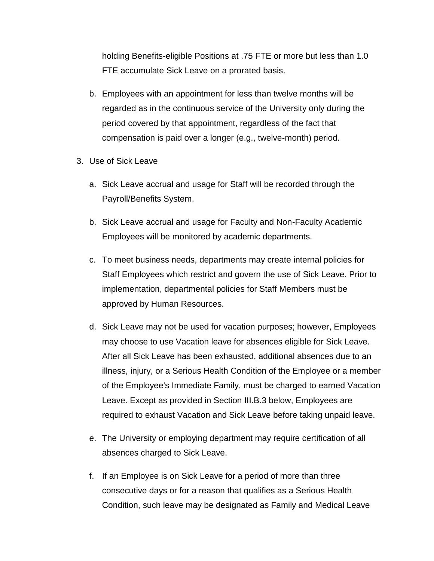holding Benefits-eligible Positions at .75 FTE or more but less than 1.0 FTE accumulate Sick Leave on a prorated basis.

- b. Employees with an appointment for less than twelve months will be regarded as in the continuous service of the University only during the period covered by that appointment, regardless of the fact that compensation is paid over a longer (e.g., twelve-month) period.
- 3. Use of Sick Leave
	- a. Sick Leave accrual and usage for Staff will be recorded through the Payroll/Benefits System.
	- b. Sick Leave accrual and usage for Faculty and Non-Faculty Academic Employees will be monitored by academic departments.
	- c. To meet business needs, departments may create internal policies for Staff Employees which restrict and govern the use of Sick Leave. Prior to implementation, departmental policies for Staff Members must be approved by Human Resources.
	- d. Sick Leave may not be used for vacation purposes; however, Employees may choose to use Vacation leave for absences eligible for Sick Leave. After all Sick Leave has been exhausted, additional absences due to an illness, injury, or a Serious Health Condition of the Employee or a member of the Employee's Immediate Family, must be charged to earned Vacation Leave. Except as provided in Section III.B.3 below, Employees are required to exhaust Vacation and Sick Leave before taking unpaid leave.
	- e. The University or employing department may require certification of all absences charged to Sick Leave.
	- f. If an Employee is on Sick Leave for a period of more than three consecutive days or for a reason that qualifies as a Serious Health Condition, such leave may be designated as Family and Medical Leave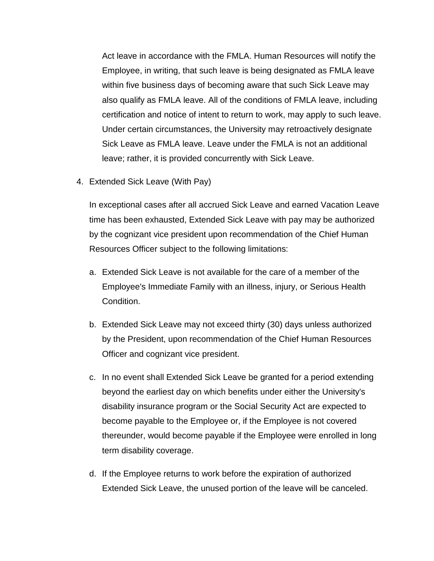Act leave in accordance with the FMLA. Human Resources will notify the Employee, in writing, that such leave is being designated as FMLA leave within five business days of becoming aware that such Sick Leave may also qualify as FMLA leave. All of the conditions of FMLA leave, including certification and notice of intent to return to work, may apply to such leave. Under certain circumstances, the University may retroactively designate Sick Leave as FMLA leave. Leave under the FMLA is not an additional leave; rather, it is provided concurrently with Sick Leave.

4. Extended Sick Leave (With Pay)

In exceptional cases after all accrued Sick Leave and earned Vacation Leave time has been exhausted, Extended Sick Leave with pay may be authorized by the cognizant vice president upon recommendation of the Chief Human Resources Officer subject to the following limitations:

- a. Extended Sick Leave is not available for the care of a member of the Employee's Immediate Family with an illness, injury, or Serious Health Condition.
- b. Extended Sick Leave may not exceed thirty (30) days unless authorized by the President, upon recommendation of the Chief Human Resources Officer and cognizant vice president.
- c. In no event shall Extended Sick Leave be granted for a period extending beyond the earliest day on which benefits under either the University's disability insurance program or the Social Security Act are expected to become payable to the Employee or, if the Employee is not covered thereunder, would become payable if the Employee were enrolled in long term disability coverage.
- d. If the Employee returns to work before the expiration of authorized Extended Sick Leave, the unused portion of the leave will be canceled.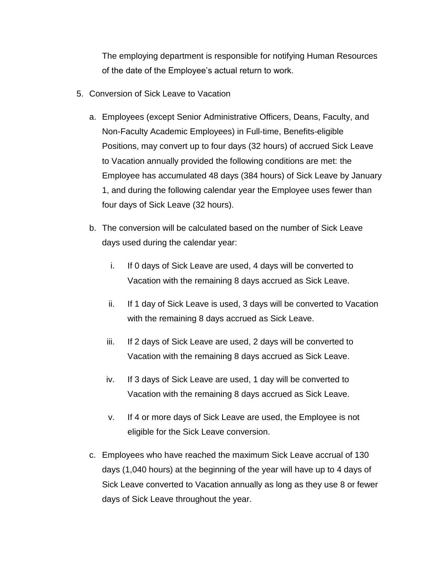The employing department is responsible for notifying Human Resources of the date of the Employee's actual return to work.

- 5. Conversion of Sick Leave to Vacation
	- a. Employees (except Senior Administrative Officers, Deans, Faculty, and Non-Faculty Academic Employees) in Full-time, Benefits-eligible Positions, may convert up to four days (32 hours) of accrued Sick Leave to Vacation annually provided the following conditions are met: the Employee has accumulated 48 days (384 hours) of Sick Leave by January 1, and during the following calendar year the Employee uses fewer than four days of Sick Leave (32 hours).
	- b. The conversion will be calculated based on the number of Sick Leave days used during the calendar year:
		- i. If 0 days of Sick Leave are used, 4 days will be converted to Vacation with the remaining 8 days accrued as Sick Leave.
		- ii. If 1 day of Sick Leave is used, 3 days will be converted to Vacation with the remaining 8 days accrued as Sick Leave.
		- iii. If 2 days of Sick Leave are used, 2 days will be converted to Vacation with the remaining 8 days accrued as Sick Leave.
		- iv. If 3 days of Sick Leave are used, 1 day will be converted to Vacation with the remaining 8 days accrued as Sick Leave.
		- v. If 4 or more days of Sick Leave are used, the Employee is not eligible for the Sick Leave conversion.
	- c. Employees who have reached the maximum Sick Leave accrual of 130 days (1,040 hours) at the beginning of the year will have up to 4 days of Sick Leave converted to Vacation annually as long as they use 8 or fewer days of Sick Leave throughout the year.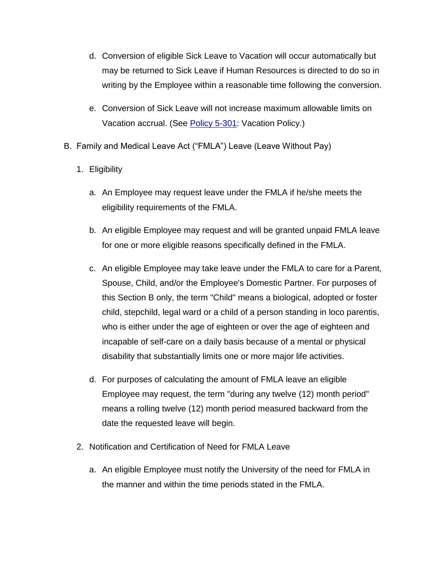- d. Conversion of eligible Sick Leave to Vacation will occur automatically but may be returned to Sick Leave if Human Resources is directed to do so in writing by the Employee within a reasonable time following the conversion.
- e. Conversion of Sick Leave will not increase maximum allowable limits on Vacation accrual. (See [Policy 5-301:](http://regulations.utah.edu/human-resources/5-301.php) Vacation Policy.)
- B. Family and Medical Leave Act ("FMLA") Leave (Leave Without Pay)
	- 1. Eligibility
		- a. An Employee may request leave under the FMLA if he/she meets the eligibility requirements of the FMLA.
		- b. An eligible Employee may request and will be granted unpaid FMLA leave for one or more eligible reasons specifically defined in the FMLA.
		- c. An eligible Employee may take leave under the FMLA to care for a Parent, Spouse, Child, and/or the Employee's Domestic Partner. For purposes of this Section B only, the term "Child" means a biological, adopted or foster child, stepchild, legal ward or a child of a person standing in loco parentis, who is either under the age of eighteen or over the age of eighteen and incapable of self-care on a daily basis because of a mental or physical disability that substantially limits one or more major life activities.
		- d. For purposes of calculating the amount of FMLA leave an eligible Employee may request, the term "during any twelve (12) month period" means a rolling twelve (12) month period measured backward from the date the requested leave will begin.
	- 2. Notification and Certification of Need for FMLA Leave
		- a. An eligible Employee must notify the University of the need for FMLA in the manner and within the time periods stated in the FMLA.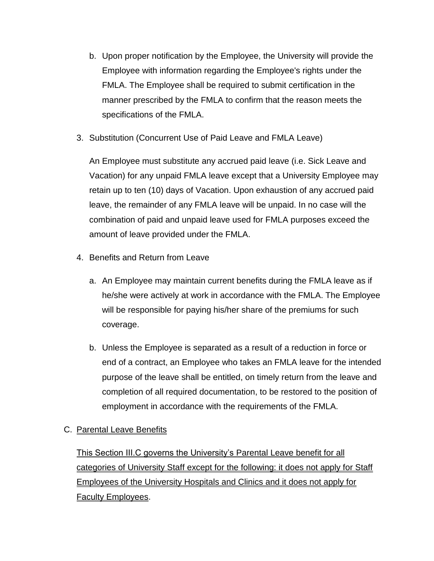- b. Upon proper notification by the Employee, the University will provide the Employee with information regarding the Employee's rights under the FMLA. The Employee shall be required to submit certification in the manner prescribed by the FMLA to confirm that the reason meets the specifications of the FMLA.
- 3. Substitution (Concurrent Use of Paid Leave and FMLA Leave)

An Employee must substitute any accrued paid leave (i.e. Sick Leave and Vacation) for any unpaid FMLA leave except that a University Employee may retain up to ten (10) days of Vacation. Upon exhaustion of any accrued paid leave, the remainder of any FMLA leave will be unpaid. In no case will the combination of paid and unpaid leave used for FMLA purposes exceed the amount of leave provided under the FMLA.

- 4. Benefits and Return from Leave
	- a. An Employee may maintain current benefits during the FMLA leave as if he/she were actively at work in accordance with the FMLA. The Employee will be responsible for paying his/her share of the premiums for such coverage.
	- b. Unless the Employee is separated as a result of a reduction in force or end of a contract, an Employee who takes an FMLA leave for the intended purpose of the leave shall be entitled, on timely return from the leave and completion of all required documentation, to be restored to the position of employment in accordance with the requirements of the FMLA.

# C. Parental Leave Benefits

This Section III.C governs the University's Parental Leave benefit for all categories of University Staff except for the following: it does not apply for Staff Employees of the University Hospitals and Clinics and it does not apply for Faculty Employees.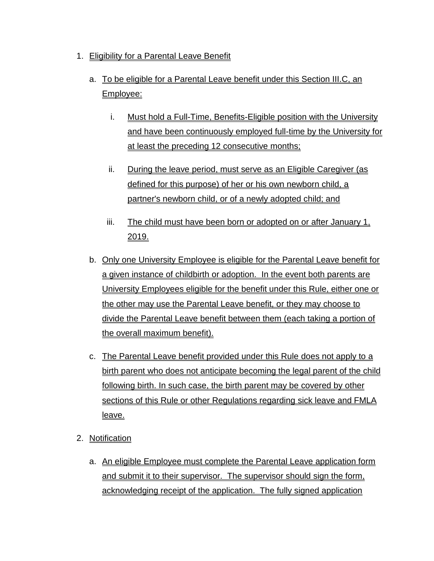- 1. Eligibility for a Parental Leave Benefit
	- a. To be eligible for a Parental Leave benefit under this Section III.C, an Employee:
		- i. Must hold a Full-Time, Benefits-Eligible position with the University and have been continuously employed full-time by the University for at least the preceding 12 consecutive months;
		- ii. During the leave period, must serve as an Eligible Caregiver (as defined for this purpose) of her or his own newborn child, a partner's newborn child, or of a newly adopted child; and
		- iii. The child must have been born or adopted on or after January 1, 2019.
	- b. Only one University Employee is eligible for the Parental Leave benefit for a given instance of childbirth or adoption. In the event both parents are University Employees eligible for the benefit under this Rule, either one or the other may use the Parental Leave benefit, or they may choose to divide the Parental Leave benefit between them (each taking a portion of the overall maximum benefit).
	- c. The Parental Leave benefit provided under this Rule does not apply to a birth parent who does not anticipate becoming the legal parent of the child following birth. In such case, the birth parent may be covered by other sections of this Rule or other Regulations regarding sick leave and FMLA leave.
- 2. Notification
	- a. An eligible Employee must complete the Parental Leave application form and submit it to their supervisor. The supervisor should sign the form, acknowledging receipt of the application. The fully signed application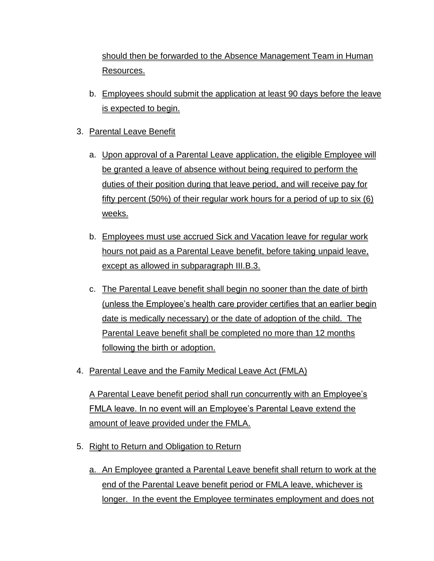should then be forwarded to the Absence Management Team in Human Resources.

- b. Employees should submit the application at least 90 days before the leave is expected to begin.
- 3. Parental Leave Benefit
	- a. Upon approval of a Parental Leave application, the eligible Employee will be granted a leave of absence without being required to perform the duties of their position during that leave period, and will receive pay for fifty percent (50%) of their regular work hours for a period of up to six (6) weeks.
	- b. Employees must use accrued Sick and Vacation leave for regular work hours not paid as a Parental Leave benefit, before taking unpaid leave, except as allowed in subparagraph III.B.3.
	- c. The Parental Leave benefit shall begin no sooner than the date of birth (unless the Employee's health care provider certifies that an earlier begin date is medically necessary) or the date of adoption of the child. The Parental Leave benefit shall be completed no more than 12 months following the birth or adoption.
- 4. Parental Leave and the Family Medical Leave Act (FMLA)

A Parental Leave benefit period shall run concurrently with an Employee's FMLA leave. In no event will an Employee's Parental Leave extend the amount of leave provided under the FMLA.

- 5. Right to Return and Obligation to Return
	- a. An Employee granted a Parental Leave benefit shall return to work at the end of the Parental Leave benefit period or FMLA leave, whichever is longer. In the event the Employee terminates employment and does not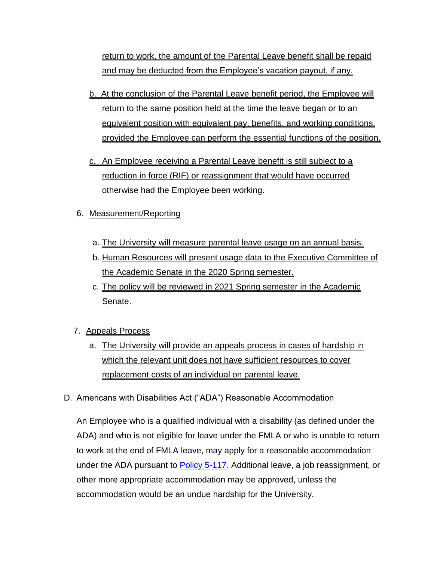return to work, the amount of the Parental Leave benefit shall be repaid and may be deducted from the Employee's vacation payout, if any.

- b. At the conclusion of the Parental Leave benefit period, the Employee will return to the same position held at the time the leave began or to an equivalent position with equivalent pay, benefits, and working conditions, provided the Employee can perform the essential functions of the position.
- c. An Employee receiving a Parental Leave benefit is still subject to a reduction in force (RIF) or reassignment that would have occurred otherwise had the Employee been working.
- 6. Measurement/Reporting
	- a. The University will measure parental leave usage on an annual basis.
	- b. Human Resources will present usage data to the Executive Committee of the Academic Senate in the 2020 Spring semester.
	- c. The policy will be reviewed in 2021 Spring semester in the Academic Senate.
- 7. Appeals Process
	- a. The University will provide an appeals process in cases of hardship in which the relevant unit does not have sufficient resources to cover replacement costs of an individual on parental leave.
- D. Americans with Disabilities Act ("ADA") Reasonable Accommodation

An Employee who is a qualified individual with a disability (as defined under the ADA) and who is not eligible for leave under the FMLA or who is unable to return to work at the end of FMLA leave, may apply for a reasonable accommodation under the ADA pursuant to **Policy 5-117**. Additional leave, a job reassignment, or other more appropriate accommodation may be approved, unless the accommodation would be an undue hardship for the University.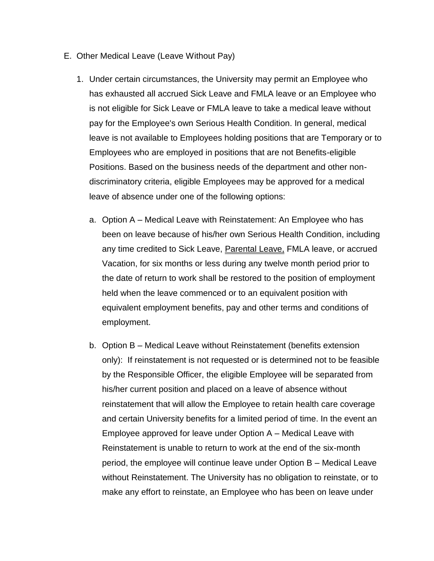- E. Other Medical Leave (Leave Without Pay)
	- 1. Under certain circumstances, the University may permit an Employee who has exhausted all accrued Sick Leave and FMLA leave or an Employee who is not eligible for Sick Leave or FMLA leave to take a medical leave without pay for the Employee's own Serious Health Condition. In general, medical leave is not available to Employees holding positions that are Temporary or to Employees who are employed in positions that are not Benefits-eligible Positions. Based on the business needs of the department and other nondiscriminatory criteria, eligible Employees may be approved for a medical leave of absence under one of the following options:
		- a. Option A Medical Leave with Reinstatement: An Employee who has been on leave because of his/her own Serious Health Condition, including any time credited to Sick Leave, Parental Leave, FMLA leave, or accrued Vacation, for six months or less during any twelve month period prior to the date of return to work shall be restored to the position of employment held when the leave commenced or to an equivalent position with equivalent employment benefits, pay and other terms and conditions of employment.
		- b. Option B Medical Leave without Reinstatement (benefits extension only): If reinstatement is not requested or is determined not to be feasible by the Responsible Officer, the eligible Employee will be separated from his/her current position and placed on a leave of absence without reinstatement that will allow the Employee to retain health care coverage and certain University benefits for a limited period of time. In the event an Employee approved for leave under Option A – Medical Leave with Reinstatement is unable to return to work at the end of the six-month period, the employee will continue leave under Option B – Medical Leave without Reinstatement. The University has no obligation to reinstate, or to make any effort to reinstate, an Employee who has been on leave under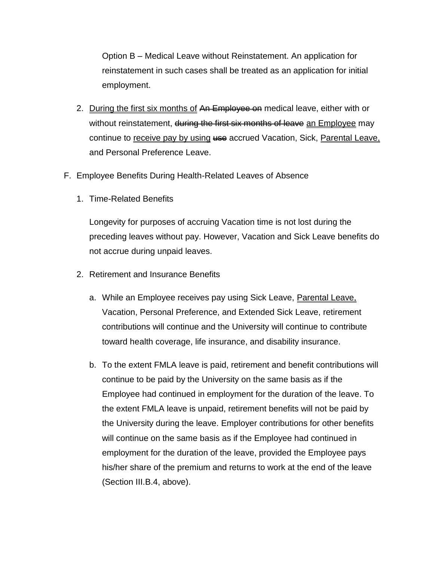Option B – Medical Leave without Reinstatement. An application for reinstatement in such cases shall be treated as an application for initial employment.

- 2. During the first six months of An Employee on medical leave, either with or without reinstatement, during the first six months of leave an Employee may continue to receive pay by using use accrued Vacation, Sick, Parental Leave, and Personal Preference Leave.
- F. Employee Benefits During Health-Related Leaves of Absence
	- 1. Time-Related Benefits

Longevity for purposes of accruing Vacation time is not lost during the preceding leaves without pay. However, Vacation and Sick Leave benefits do not accrue during unpaid leaves.

- 2. Retirement and Insurance Benefits
	- a. While an Employee receives pay using Sick Leave, Parental Leave, Vacation, Personal Preference, and Extended Sick Leave, retirement contributions will continue and the University will continue to contribute toward health coverage, life insurance, and disability insurance.
	- b. To the extent FMLA leave is paid, retirement and benefit contributions will continue to be paid by the University on the same basis as if the Employee had continued in employment for the duration of the leave. To the extent FMLA leave is unpaid, retirement benefits will not be paid by the University during the leave. Employer contributions for other benefits will continue on the same basis as if the Employee had continued in employment for the duration of the leave, provided the Employee pays his/her share of the premium and returns to work at the end of the leave (Section III.B.4, above).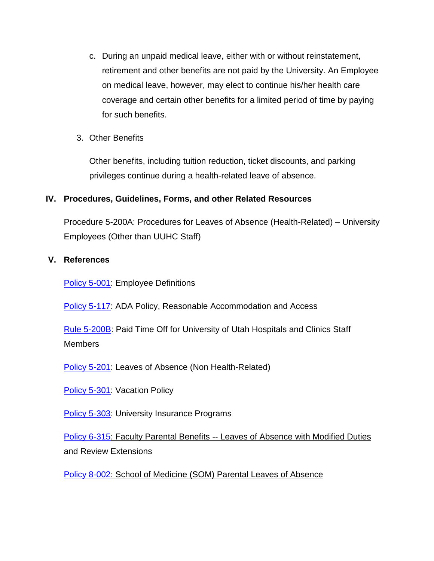- c. During an unpaid medical leave, either with or without reinstatement, retirement and other benefits are not paid by the University. An Employee on medical leave, however, may elect to continue his/her health care coverage and certain other benefits for a limited period of time by paying for such benefits.
- 3. Other Benefits

Other benefits, including tuition reduction, ticket discounts, and parking privileges continue during a health-related leave of absence.

# **IV. Procedures, Guidelines, Forms, and other Related Resources**

Procedure 5-200A: Procedures for Leaves of Absence (Health-Related) – University Employees (Other than UUHC Staff)

# **V. References**

[Policy 5-001:](http://regulations.utah.edu/human-resources/5-001.php) Employee Definitions

[Policy 5-117:](http://regulations.utah.edu/human-resources/5-117.php) ADA Policy, Reasonable Accommodation and Access

[Rule 5-200B:](http://regulations.utah.edu/human-resources/rules/rule_5-200B.php) Paid Time Off for University of Utah Hospitals and Clinics Staff Members

[Policy 5-201:](http://regulations.utah.edu/u-organizations/2-001.php) Leaves of Absence (Non Health-Related)

[Policy 5-301:](http://regulations.utah.edu/human-resources/5-301.php) Vacation Policy

**[Policy 5-303:](http://regulations.utah.edu/human-resources/5-303.php) University Insurance Programs** 

[Policy 6-315:](http://regulations.utah.edu/academics/6-315.php) Faculty Parental Benefits -- Leaves of Absence with Modified Duties and Review Extensions

[Policy 8-002:](http://regulations.utah.edu/health-sciences/8-002.php) School of Medicine (SOM) Parental Leaves of Absence